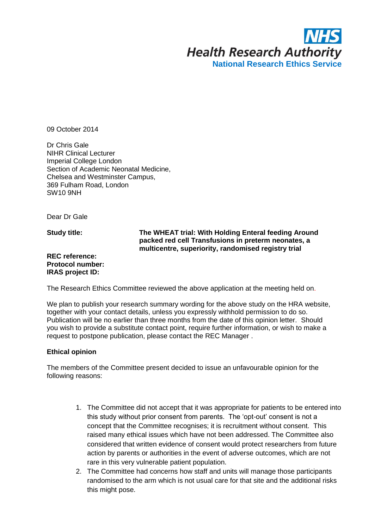

09 October 2014

Dr Chris Gale NIHR Clinical Lecturer Imperial College London Section of Academic Neonatal Medicine, Chelsea and Westminster Campus, 369 Fulham Road, London SW10 9NH

Dear Dr Gale

**Study title:**

## **The WHEAT trial: With Holding Enteral feeding Around packed red cell Transfusions in preterm neonates, a multicentre, superiority, randomised registry trial**

**REC reference: Protocol number: IRAS project ID:**

The Research Ethics Committee reviewed the above application at the meeting held on.

We plan to publish your research summary wording for the above study on the HRA website, together with your contact details, unless you expressly withhold permission to do so. Publication will be no earlier than three months from the date of this opinion letter. Should you wish to provide a substitute contact point, require further information, or wish to make a request to postpone publication, please contact the REC Manager .

### **Ethical opinion**

The members of the Committee present decided to issue an unfavourable opinion for the following reasons:

- 1. The Committee did not accept that it was appropriate for patients to be entered into this study without prior consent from parents. The 'opt-out' consent is not a concept that the Committee recognises; it is recruitment without consent. This raised many ethical issues which have not been addressed. The Committee also considered that written evidence of consent would protect researchers from future action by parents or authorities in the event of adverse outcomes, which are not rare in this very vulnerable patient population.
- 2. The Committee had concerns how staff and units will manage those participants randomised to the arm which is not usual care for that site and the additional risks this might pose.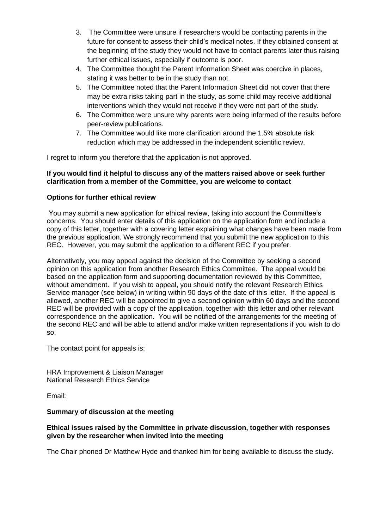- 3. The Committee were unsure if researchers would be contacting parents in the future for consent to assess their child's medical notes. If they obtained consent at the beginning of the study they would not have to contact parents later thus raising further ethical issues, especially if outcome is poor.
- 4. The Committee thought the Parent Information Sheet was coercive in places, stating it was better to be in the study than not.
- 5. The Committee noted that the Parent Information Sheet did not cover that there may be extra risks taking part in the study, as some child may receive additional interventions which they would not receive if they were not part of the study.
- 6. The Committee were unsure why parents were being informed of the results before peer-review publications.
- 7. The Committee would like more clarification around the 1.5% absolute risk reduction which may be addressed in the independent scientific review.

I regret to inform you therefore that the application is not approved.

### **If you would find it helpful to discuss any of the matters raised above or seek further clarification from a member of the Committee, you are welcome to contact**

### **Options for further ethical review**

You may submit a new application for ethical review, taking into account the Committee's concerns. You should enter details of this application on the application form and include a copy of this letter, together with a covering letter explaining what changes have been made from the previous application. We strongly recommend that you submit the new application to this REC. However, you may submit the application to a different REC if you prefer.

Alternatively, you may appeal against the decision of the Committee by seeking a second opinion on this application from another Research Ethics Committee. The appeal would be based on the application form and supporting documentation reviewed by this Committee, without amendment. If you wish to appeal, you should notify the relevant Research Ethics Service manager (see below) in writing within 90 days of the date of this letter. If the appeal is allowed, another REC will be appointed to give a second opinion within 60 days and the second REC will be provided with a copy of the application, together with this letter and other relevant correspondence on the application. You will be notified of the arrangements for the meeting of the second REC and will be able to attend and/or make written representations if you wish to do so.

The contact point for appeals is:

HRA Improvement & Liaison Manager National Research Ethics Service

Email:

### **Summary of discussion at the meeting**

### **Ethical issues raised by the Committee in private discussion, together with responses given by the researcher when invited into the meeting**

The Chair phoned Dr Matthew Hyde and thanked him for being available to discuss the study.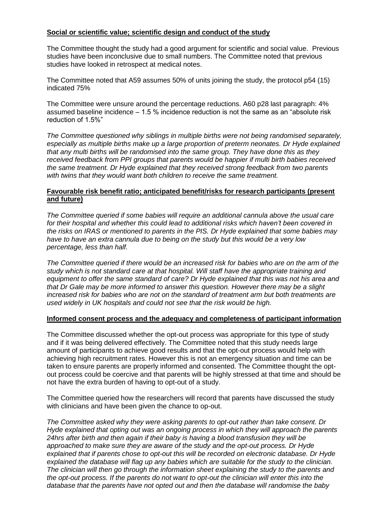## **Social or scientific value; scientific design and conduct of the study**

The Committee thought the study had a good argument for scientific and social value. Previous studies have been inconclusive due to small numbers. The Committee noted that previous studies have looked in retrospect at medical notes.

The Committee noted that A59 assumes 50% of units joining the study, the protocol p54 (15) indicated 75%

The Committee were unsure around the percentage reductions. A60 p28 last paragraph: 4% assumed baseline incidence – 1.5 % incidence reduction is not the same as an "absolute risk reduction of 1.5%"

*The Committee questioned why siblings in multiple births were not being randomised separately, especially as multiple births make up a large proportion of preterm neonates. Dr Hyde explained that any multi births will be randomised into the same group. They have done this as they received feedback from PPI groups that parents would be happier if multi birth babies received the same treatment. Dr Hyde explained that they received strong feedback from two parents with twins that they would want both children to receive the same treatment.* 

### **Favourable risk benefit ratio; anticipated benefit/risks for research participants (present and future)**

*The Committee queried if some babies will require an additional cannula above the usual care for their hospital and whether this could lead to additional risks which haven't been covered in the risks on IRAS or mentioned to parents in the PIS. Dr Hyde explained that some babies may have to have an extra cannula due to being on the study but this would be a very low percentage, less than half.* 

*The Committee queried if there would be an increased risk for babies who are on the arm of the study which is not standard care at that hospital. Will staff have the appropriate training and equipment to offer the same standard of care? Dr Hyde explained that this was not his area and that Dr Gale may be more informed to answer this question. However there may be a slight increased risk for babies who are not on the standard of treatment arm but both treatments are used widely in UK hospitals and could not see that the risk would be high.* 

### **Informed consent process and the adequacy and completeness of participant information**

The Committee discussed whether the opt-out process was appropriate for this type of study and if it was being delivered effectively. The Committee noted that this study needs large amount of participants to achieve good results and that the opt-out process would help with achieving high recruitment rates. However this is not an emergency situation and time can be taken to ensure parents are properly informed and consented. The Committee thought the optout process could be coercive and that parents will be highly stressed at that time and should be not have the extra burden of having to opt-out of a study.

The Committee queried how the researchers will record that parents have discussed the study with clinicians and have been given the chance to op-out.

*The Committee asked why they were asking parents to opt-out rather than take consent. Dr Hyde explained that opting out was an ongoing process in which they will approach the parents 24hrs after birth and then again if their baby is having a blood transfusion they will be approached to make sure they are aware of the study and the opt-out process. Dr Hyde explained that if parents chose to opt-out this will be recorded on electronic database. Dr Hyde explained the database will flag up any babies which are suitable for the study to the clinician. The clinician will then go through the information sheet explaining the study to the parents and the opt-out process. If the parents do not want to opt-out the clinician will enter this into the database that the parents have not opted out and then the database will randomise the baby*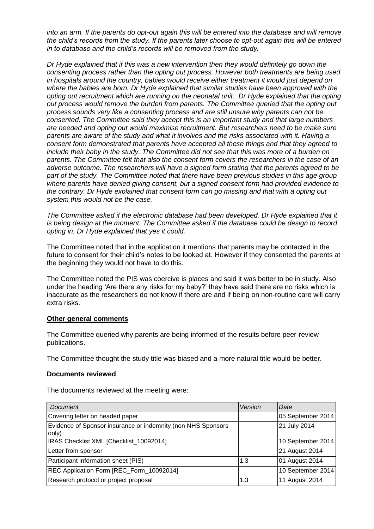*into an arm. If the parents do opt-out again this will be entered into the database and will remove the child's records from the study. If the parents later choose to opt-out again this will be entered in to database and the child's records will be removed from the study.* 

*Dr Hyde explained that if this was a new intervention then they would definitely go down the consenting process rather than the opting out process. However both treatments are being used in hospitals around the country, babies would receive either treatment it would just depend on where the babies are born. Dr Hyde explained that similar studies have been approved with the opting out recruitment which are running on the neonatal unit. Dr Hyde explained that the opting out process would remove the burden from parents. The Committee queried that the opting out process sounds very like a consenting process and are still unsure why parents can not be consented. The Committee said they accept this is an important study and that large numbers are needed and opting out would maximise recruitment. But researchers need to be make sure parents are aware of the study and what it involves and the risks associated with it. Having a consent form demonstrated that parents have accepted all these things and that they agreed to include their baby in the study. The Committee did not see that this was more of a burden on parents. The Committee felt that also the consent form covers the researchers in the case of an adverse outcome. The researchers will have a signed form stating that the parents agreed to be part of the study. The Committee noted that there have been previous studies in this age group where parents have denied giving consent, but a signed consent form had provided evidence to the contrary. Dr Hyde explained that consent form can go missing and that with a opting out system this would not be the case.* 

The Committee asked if the electronic database had been developed. Dr Hyde explained that it *is being design at the moment. The Committee asked if the database could be design to record opting in. Dr Hyde explained that yes it could.* 

The Committee noted that in the application it mentions that parents may be contacted in the future to consent for their child's notes to be looked at. However if they consented the parents at the beginning they would not have to do this.

The Committee noted the PIS was coercive is places and said it was better to be in study. Also under the heading 'Are there any risks for my baby?' they have said there are no risks which is inaccurate as the researchers do not know if there are and if being on non-routine care will carry extra risks.

#### **Other general comments**

The Committee queried why parents are being informed of the results before peer-review publications.

The Committee thought the study title was biased and a more natural title would be better.

#### **Documents reviewed**

The documents reviewed at the meeting were:

| Document                                                              | Version | Date              |
|-----------------------------------------------------------------------|---------|-------------------|
| Covering letter on headed paper                                       |         | 05 September 2014 |
| Evidence of Sponsor insurance or indemnity (non NHS Sponsors<br>only) |         | 21 July 2014      |
| IRAS Checklist XML [Checklist_10092014]                               |         | 10 September 2014 |
| Letter from sponsor                                                   |         | 21 August 2014    |
| Participant information sheet (PIS)                                   | 1.3     | 01 August 2014    |
| REC Application Form [REC_Form_10092014]                              |         | 10 September 2014 |
| Research protocol or project proposal                                 | 1.3     | 11 August 2014    |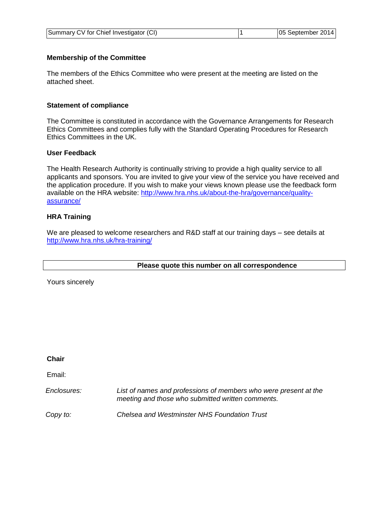| Summary CV for Chief Investigator (CI) |  | 05 September 2014 |
|----------------------------------------|--|-------------------|
|----------------------------------------|--|-------------------|

## **Membership of the Committee**

The members of the Ethics Committee who were present at the meeting are listed on the attached sheet.

### **Statement of compliance**

The Committee is constituted in accordance with the Governance Arrangements for Research Ethics Committees and complies fully with the Standard Operating Procedures for Research Ethics Committees in the UK.

## **User Feedback**

The Health Research Authority is continually striving to provide a high quality service to all applicants and sponsors. You are invited to give your view of the service you have received and the application procedure. If you wish to make your views known please use the feedback form available on the HRA website: [http://www.hra.nhs.uk/about-the-hra/governance/quality](http://www.hra.nhs.uk/about-the-hra/governance/quality-assurance/)[assurance/](http://www.hra.nhs.uk/about-the-hra/governance/quality-assurance/)

### **HRA Training**

We are pleased to welcome researchers and R&D staff at our training days – see details at <http://www.hra.nhs.uk/hra-training/>

**Please quote this number on all correspondence**

Yours sincerely

**Chair** 

Email:

*Enclosures: List of names and professions of members who were present at the meeting and those who submitted written comments.*

*Copy to: Chelsea and Westminster NHS Foundation Trust*